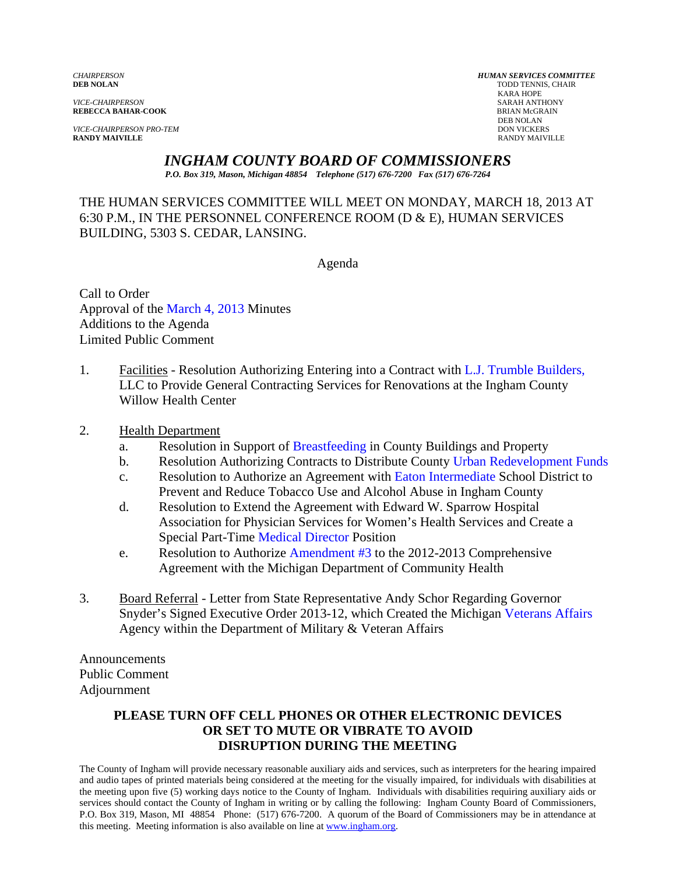*VICE-CHAIRPERSON* SARAH ANTHONY **REBECCA BAHAR-COOK** BRIAN MCGR<br>DEB NOLAN

*VICE-CHAIRPERSON PRO-TEM* DON VICKERS **DON VICKERS DON VICKERS DON VICKERS RANDY MAIVILLE RANDY MAIVILLE** RANDY MAIVILLE

*CHAIRPERSON HUMAN SERVICES COMMITTEE* **TODD TENNIS, CHAIR<br>KARA HOPE**  KARA HOPE DEB NOLAN

> *INGHAM COUNTY BOARD OF COMMISSIONERS P.O. Box 319, Mason, Michigan 48854 Telephone (517) 676-7200 Fax (517) 676-7264*

THE HUMAN SERVICES COMMITTEE WILL MEET ON MONDAY, MARCH 18, 2013 AT 6:30 P.M., IN THE PERSONNEL CONFERENCE ROOM (D & E), HUMAN SERVICES BUILDING, 5303 S. CEDAR, LANSING.

Agenda

Call to Order Approval of [the March 4, 2013 Minutes](#page-1-0)  Additions to the Agenda Limited Public Comment

1. Facilities - Resolution Authorizing Entering into a Contract wi[th L.J. Trumble Builders,](#page-7-0) LLC to Provide General Contracting Services for Renovations at the Ingham County Willow Health Center

#### 2. Health Department

- a. Resolution in Suppo[rt of Breastfeeding in Coun](#page-11-0)ty Buildings and Property
- b. Resolution Authorizing Contracts to Distribute Count[y Urban Redevelopment Funds](#page-12-0)
- c. Resolution to Authorize an Agreement with Eaton Intermediate School District to Prevent and Reduce Tobacco Use and Al[cohol Abuse in Ingham County](#page-15-0)
- d. Resolution to Extend the Agreement with Edward W. Sparrow Hospital Association for Physician Services for Women's Health Services and Create a Special Part-Ti[me Medical Director Position](#page-18-0)
- e. Resolution to Authorize Amendment #3 to the 2012-2013 Comprehensive Agreement with the Mi[chigan Department of Commu](#page-23-0)nity Health
- 3. Board Referral Letter from State Representative Andy Schor Regarding Governor Snyder's Signed Executive Order 2013-12, which Created the Michi[gan Veterans Affairs](#page-25-0) Agency within the Department of Military & Veteran Affairs

Announcements Public Comment Adjournment

#### **PLEASE TURN OFF CELL PHONES OR OTHER ELECTRONIC DEVICES OR SET TO MUTE OR VIBRATE TO AVOID DISRUPTION DURING THE MEETING**

The County of Ingham will provide necessary reasonable auxiliary aids and services, such as interpreters for the hearing impaired and audio tapes of printed materials being considered at the meeting for the visually impaired, for individuals with disabilities at the meeting upon five (5) working days notice to the County of Ingham. Individuals with disabilities requiring auxiliary aids or services should contact the County of Ingham in writing or by calling the following: Ingham County Board of Commissioners, P.O. Box 319, Mason, MI 48854 Phone: (517) 676-7200. A quorum of the Board of Commissioners may be in attendance at this meeting. Meeting information is also available on line at www.ingham.org.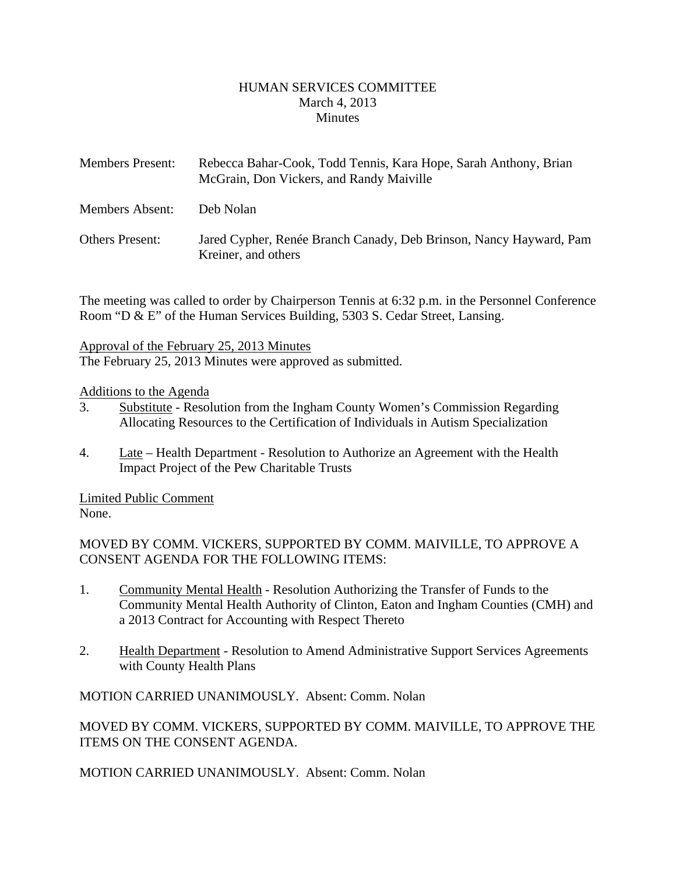#### HUMAN SERVICES COMMITTEE March 4, 2013 **Minutes**

<span id="page-1-0"></span>

| <b>Members Present:</b> | Rebecca Bahar-Cook, Todd Tennis, Kara Hope, Sarah Anthony, Brian<br>McGrain, Don Vickers, and Randy Maiville |
|-------------------------|--------------------------------------------------------------------------------------------------------------|
| Members Absent:         | Deb Nolan                                                                                                    |
| <b>Others Present:</b>  | Jared Cypher, Renée Branch Canady, Deb Brinson, Nancy Hayward, Pam<br>Kreiner, and others                    |

The meeting was called to order by Chairperson Tennis at 6:32 p.m. in the Personnel Conference Room "D & E" of the Human Services Building, 5303 S. Cedar Street, Lansing.

Approval of the February 25, 2013 Minutes

The February 25, 2013 Minutes were approved as submitted.

#### Additions to the Agenda

- 3. Substitute Resolution from the Ingham County Women's Commission Regarding Allocating Resources to the Certification of Individuals in Autism Specialization
- 4. Late Health Department Resolution to Authorize an Agreement with the Health Impact Project of the Pew Charitable Trusts

Limited Public Comment None.

MOVED BY COMM. VICKERS, SUPPORTED BY COMM. MAIVILLE, TO APPROVE A CONSENT AGENDA FOR THE FOLLOWING ITEMS:

- 1. Community Mental Health Resolution Authorizing the Transfer of Funds to the Community Mental Health Authority of Clinton, Eaton and Ingham Counties (CMH) and a 2013 Contract for Accounting with Respect Thereto
- 2. Health Department Resolution to Amend Administrative Support Services Agreements with County Health Plans

MOTION CARRIED UNANIMOUSLY. Absent: Comm. Nolan

MOVED BY COMM. VICKERS, SUPPORTED BY COMM. MAIVILLE, TO APPROVE THE ITEMS ON THE CONSENT AGENDA.

MOTION CARRIED UNANIMOUSLY. Absent: Comm. Nolan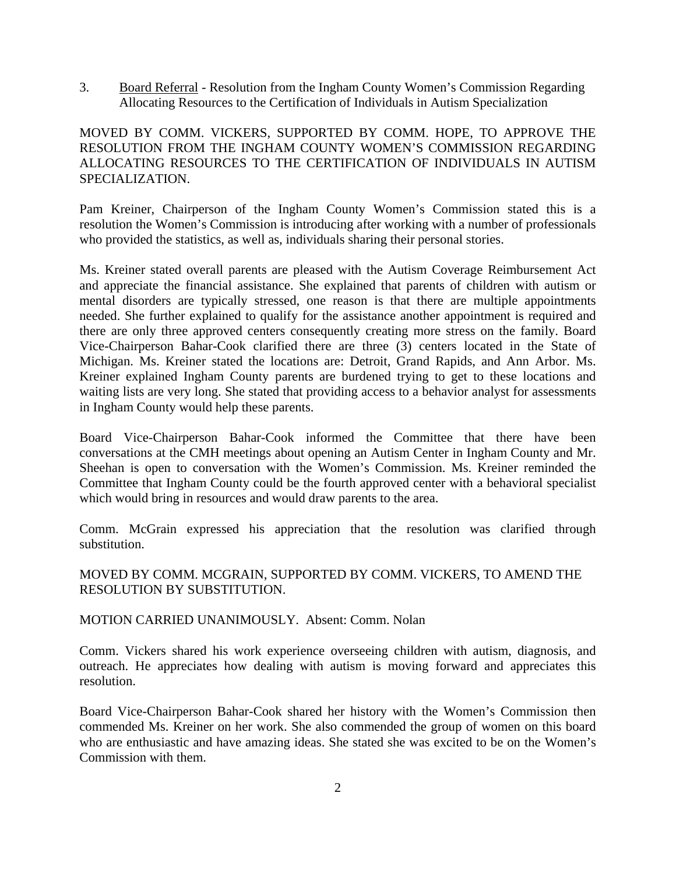3. Board Referral - Resolution from the Ingham County Women's Commission Regarding Allocating Resources to the Certification of Individuals in Autism Specialization

#### MOVED BY COMM. VICKERS, SUPPORTED BY COMM. HOPE, TO APPROVE THE RESOLUTION FROM THE INGHAM COUNTY WOMEN'S COMMISSION REGARDING ALLOCATING RESOURCES TO THE CERTIFICATION OF INDIVIDUALS IN AUTISM SPECIALIZATION.

Pam Kreiner, Chairperson of the Ingham County Women's Commission stated this is a resolution the Women's Commission is introducing after working with a number of professionals who provided the statistics, as well as, individuals sharing their personal stories.

Ms. Kreiner stated overall parents are pleased with the Autism Coverage Reimbursement Act and appreciate the financial assistance. She explained that parents of children with autism or mental disorders are typically stressed, one reason is that there are multiple appointments needed. She further explained to qualify for the assistance another appointment is required and there are only three approved centers consequently creating more stress on the family. Board Vice-Chairperson Bahar-Cook clarified there are three (3) centers located in the State of Michigan. Ms. Kreiner stated the locations are: Detroit, Grand Rapids, and Ann Arbor. Ms. Kreiner explained Ingham County parents are burdened trying to get to these locations and waiting lists are very long. She stated that providing access to a behavior analyst for assessments in Ingham County would help these parents.

Board Vice-Chairperson Bahar-Cook informed the Committee that there have been conversations at the CMH meetings about opening an Autism Center in Ingham County and Mr. Sheehan is open to conversation with the Women's Commission. Ms. Kreiner reminded the Committee that Ingham County could be the fourth approved center with a behavioral specialist which would bring in resources and would draw parents to the area.

Comm. McGrain expressed his appreciation that the resolution was clarified through substitution.

MOVED BY COMM. MCGRAIN, SUPPORTED BY COMM. VICKERS, TO AMEND THE RESOLUTION BY SUBSTITUTION.

#### MOTION CARRIED UNANIMOUSLY. Absent: Comm. Nolan

Comm. Vickers shared his work experience overseeing children with autism, diagnosis, and outreach. He appreciates how dealing with autism is moving forward and appreciates this resolution.

Board Vice-Chairperson Bahar-Cook shared her history with the Women's Commission then commended Ms. Kreiner on her work. She also commended the group of women on this board who are enthusiastic and have amazing ideas. She stated she was excited to be on the Women's Commission with them.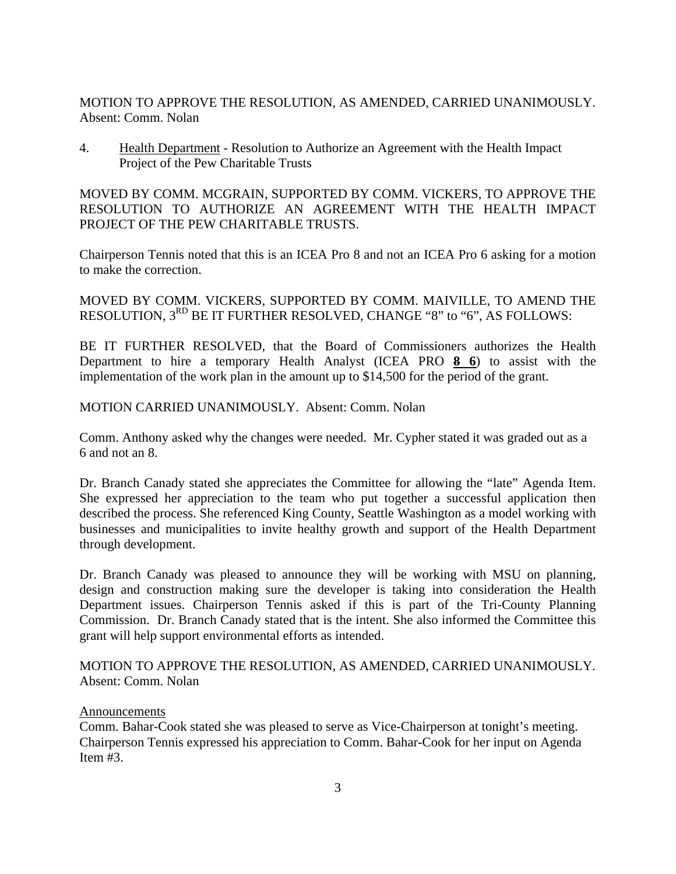MOTION TO APPROVE THE RESOLUTION, AS AMENDED, CARRIED UNANIMOUSLY. Absent: Comm. Nolan

4. Health Department - Resolution to Authorize an Agreement with the Health Impact Project of the Pew Charitable Trusts

MOVED BY COMM. MCGRAIN, SUPPORTED BY COMM. VICKERS, TO APPROVE THE RESOLUTION TO AUTHORIZE AN AGREEMENT WITH THE HEALTH IMPACT PROJECT OF THE PEW CHARITABLE TRUSTS.

Chairperson Tennis noted that this is an ICEA Pro 8 and not an ICEA Pro 6 asking for a motion to make the correction.

MOVED BY COMM. VICKERS, SUPPORTED BY COMM. MAIVILLE, TO AMEND THE RESOLUTION, 3<sup>RD</sup> BE IT FURTHER RESOLVED, CHANGE "8" to "6", AS FOLLOWS:

BE IT FURTHER RESOLVED, that the Board of Commissioners authorizes the Health Department to hire a temporary Health Analyst (ICEA PRO **8 6**) to assist with the implementation of the work plan in the amount up to \$14,500 for the period of the grant.

#### MOTION CARRIED UNANIMOUSLY. Absent: Comm. Nolan

Comm. Anthony asked why the changes were needed. Mr. Cypher stated it was graded out as a 6 and not an 8.

Dr. Branch Canady stated she appreciates the Committee for allowing the "late" Agenda Item. She expressed her appreciation to the team who put together a successful application then described the process. She referenced King County, Seattle Washington as a model working with businesses and municipalities to invite healthy growth and support of the Health Department through development.

Dr. Branch Canady was pleased to announce they will be working with MSU on planning, design and construction making sure the developer is taking into consideration the Health Department issues. Chairperson Tennis asked if this is part of the Tri-County Planning Commission. Dr. Branch Canady stated that is the intent. She also informed the Committee this grant will help support environmental efforts as intended.

MOTION TO APPROVE THE RESOLUTION, AS AMENDED, CARRIED UNANIMOUSLY. Absent: Comm. Nolan

#### Announcements

Comm. Bahar-Cook stated she was pleased to serve as Vice-Chairperson at tonight's meeting. Chairperson Tennis expressed his appreciation to Comm. Bahar-Cook for her input on Agenda Item #3.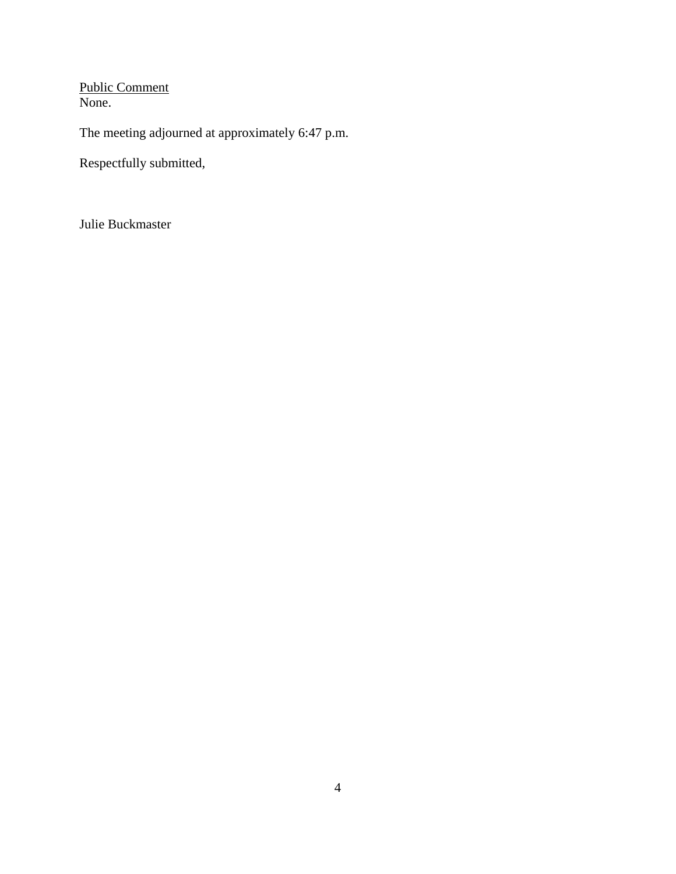Public Comment None.

The meeting adjourned at approximately 6:47 p.m.

Respectfully submitted,

Julie Buckmaster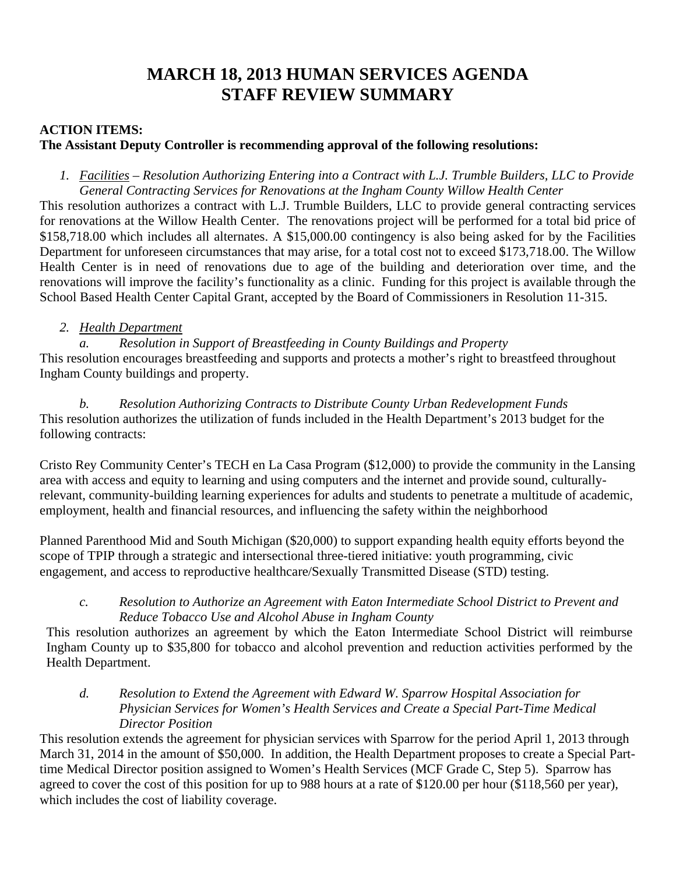# **MARCH 18, 2013 HUMAN SERVICES AGENDA STAFF REVIEW SUMMARY**

## **ACTION ITEMS:**

## **The Assistant Deputy Controller is recommending approval of the following resolutions:**

*1. Facilities – Resolution Authorizing Entering into a Contract with L.J. Trumble Builders, LLC to Provide General Contracting Services for Renovations at the Ingham County Willow Health Center* 

This resolution authorizes a contract with L.J. Trumble Builders, LLC to provide general contracting services for renovations at the Willow Health Center. The renovations project will be performed for a total bid price of \$158,718.00 which includes all alternates. A \$15,000.00 contingency is also being asked for by the Facilities Department for unforeseen circumstances that may arise, for a total cost not to exceed \$173,718.00. The Willow Health Center is in need of renovations due to age of the building and deterioration over time, and the renovations will improve the facility's functionality as a clinic. Funding for this project is available through the School Based Health Center Capital Grant, accepted by the Board of Commissioners in Resolution 11-315.

## *2. Health Department*

*a. Resolution in Support of Breastfeeding in County Buildings and Property*  This resolution encourages breastfeeding and supports and protects a mother's right to breastfeed throughout Ingham County buildings and property.

*b. Resolution Authorizing Contracts to Distribute County Urban Redevelopment Funds*  This resolution authorizes the utilization of funds included in the Health Department's 2013 budget for the following contracts:

Cristo Rey Community Center's TECH en La Casa Program (\$12,000) to provide the community in the Lansing area with access and equity to learning and using computers and the internet and provide sound, culturallyrelevant, community-building learning experiences for adults and students to penetrate a multitude of academic, employment, health and financial resources, and influencing the safety within the neighborhood

Planned Parenthood Mid and South Michigan (\$20,000) to support expanding health equity efforts beyond the scope of TPIP through a strategic and intersectional three-tiered initiative: youth programming, civic engagement, and access to reproductive healthcare/Sexually Transmitted Disease (STD) testing.

## *c. Resolution to Authorize an Agreement with Eaton Intermediate School District to Prevent and Reduce Tobacco Use and Alcohol Abuse in Ingham County*

This resolution authorizes an agreement by which the Eaton Intermediate School District will reimburse Ingham County up to \$35,800 for tobacco and alcohol prevention and reduction activities performed by the Health Department.

## *d. Resolution to Extend the Agreement with Edward W. Sparrow Hospital Association for Physician Services for Women's Health Services and Create a Special Part-Time Medical Director Position*

This resolution extends the agreement for physician services with Sparrow for the period April 1, 2013 through March 31, 2014 in the amount of \$50,000. In addition, the Health Department proposes to create a Special Parttime Medical Director position assigned to Women's Health Services (MCF Grade C, Step 5). Sparrow has agreed to cover the cost of this position for up to 988 hours at a rate of \$120.00 per hour (\$118,560 per year), which includes the cost of liability coverage.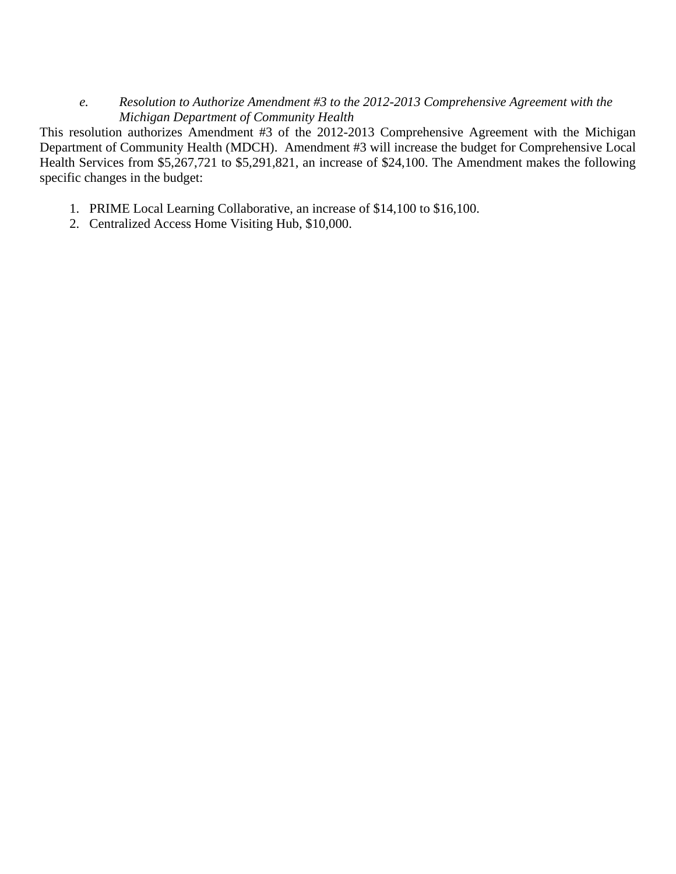*e. Resolution to Authorize Amendment #3 to the 2012-2013 Comprehensive Agreement with the Michigan Department of Community Health* 

This resolution authorizes Amendment #3 of the 2012-2013 Comprehensive Agreement with the Michigan Department of Community Health (MDCH). Amendment #3 will increase the budget for Comprehensive Local Health Services from \$5,267,721 to \$5,291,821, an increase of \$24,100. The Amendment makes the following specific changes in the budget:

- 1. PRIME Local Learning Collaborative, an increase of \$14,100 to \$16,100.
- 2. Centralized Access Home Visiting Hub, \$10,000.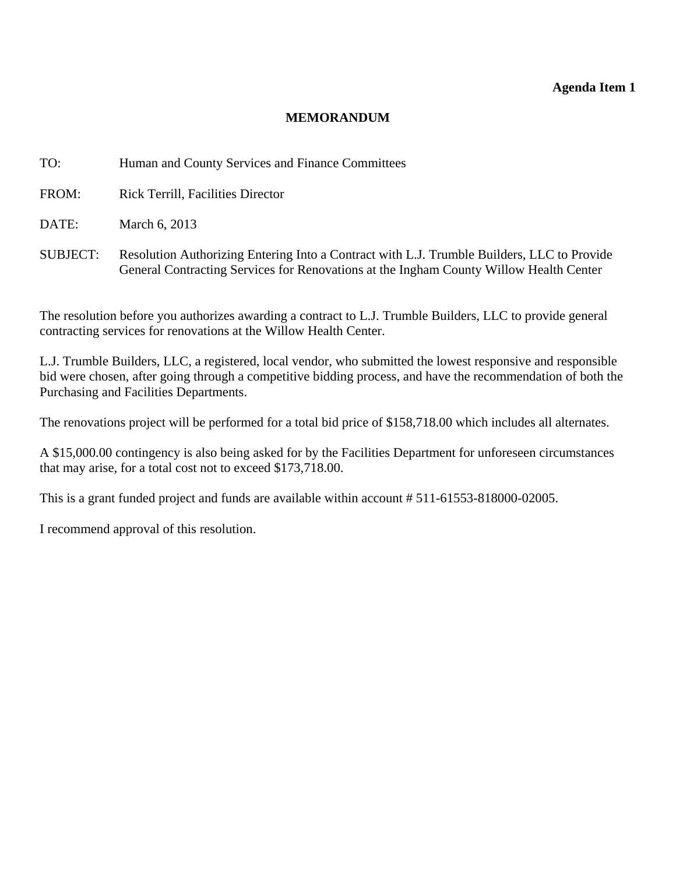#### **Agenda Item 1**

#### **MEMORANDUM**

<span id="page-7-0"></span>TO: Human and County Services and Finance Committees

FROM: Rick Terrill, Facilities Director

DATE: March 6, 2013

SUBJECT: Resolution Authorizing Entering Into a Contract with L.J. Trumble Builders, LLC to Provide General Contracting Services for Renovations at the Ingham County Willow Health Center

The resolution before you authorizes awarding a contract to L.J. Trumble Builders, LLC to provide general contracting services for renovations at the Willow Health Center.

L.J. Trumble Builders, LLC, a registered, local vendor, who submitted the lowest responsive and responsible bid were chosen, after going through a competitive bidding process, and have the recommendation of both the Purchasing and Facilities Departments.

The renovations project will be performed for a total bid price of \$158,718.00 which includes all alternates.

A \$15,000.00 contingency is also being asked for by the Facilities Department for unforeseen circumstances that may arise, for a total cost not to exceed \$173,718.00.

This is a grant funded project and funds are available within account # 511-61553-818000-02005.

I recommend approval of this resolution.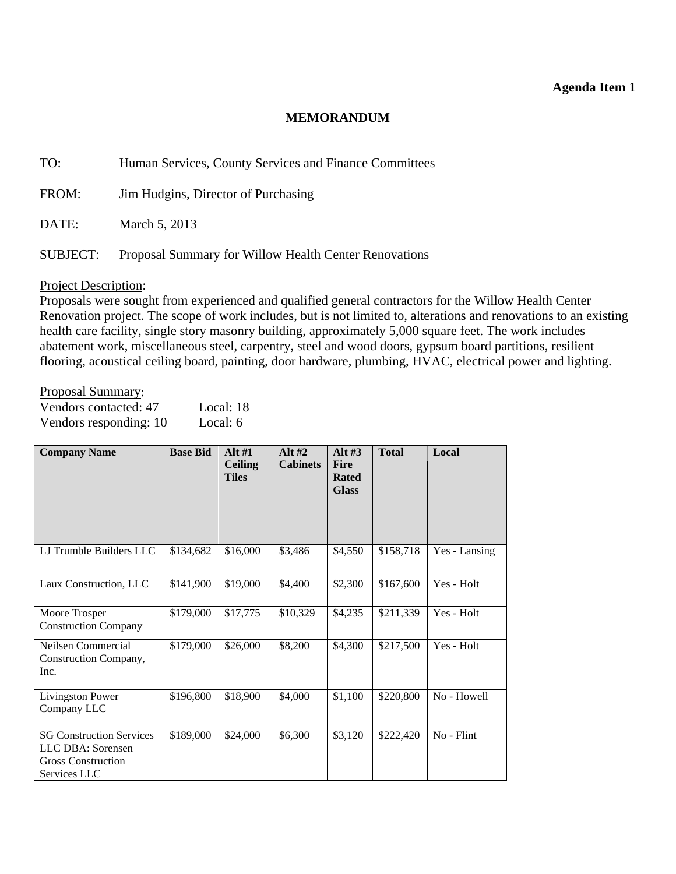#### **Agenda Item 1**

#### **MEMORANDUM**

TO: Human Services, County Services and Finance Committees

FROM: Jim Hudgins, Director of Purchasing

DATE: March 5, 2013

SUBJECT: Proposal Summary for Willow Health Center Renovations

#### Project Description:

Proposals were sought from experienced and qualified general contractors for the Willow Health Center Renovation project. The scope of work includes, but is not limited to, alterations and renovations to an existing health care facility, single story masonry building, approximately 5,000 square feet. The work includes abatement work, miscellaneous steel, carpentry, steel and wood doors, gypsum board partitions, resilient flooring, acoustical ceiling board, painting, door hardware, plumbing, HVAC, electrical power and lighting.

#### Proposal Summary:

| Vendors contacted: 47  | Local: 18 |
|------------------------|-----------|
| Vendors responding: 10 | Local: 6  |

| <b>Company Name</b>                                                                               | <b>Base Bid</b> | Alt $#1$<br><b>Ceiling</b><br><b>Tiles</b> | Alt $#2$<br><b>Cabinets</b> | Alt $#3$<br><b>Fire</b><br><b>Rated</b><br><b>Glass</b> | <b>Total</b> | Local         |
|---------------------------------------------------------------------------------------------------|-----------------|--------------------------------------------|-----------------------------|---------------------------------------------------------|--------------|---------------|
| LJ Trumble Builders LLC                                                                           | \$134,682       | \$16,000                                   | \$3,486                     | \$4,550                                                 | \$158,718    | Yes - Lansing |
| Laux Construction, LLC                                                                            | \$141,900       | \$19,000                                   | \$4,400                     | \$2,300                                                 | \$167,600    | Yes - Holt    |
| Moore Trosper<br><b>Construction Company</b>                                                      | \$179,000       | \$17,775                                   | \$10,329                    | \$4,235                                                 | \$211,339    | Yes - Holt    |
| Neilsen Commercial<br>Construction Company,<br>Inc.                                               | \$179,000       | \$26,000                                   | \$8,200                     | \$4,300                                                 | \$217,500    | Yes - Holt    |
| <b>Livingston Power</b><br>Company LLC                                                            | \$196,800       | \$18,900                                   | \$4,000                     | \$1,100                                                 | \$220,800    | No - Howell   |
| <b>SG Construction Services</b><br>LLC DBA: Sorensen<br><b>Gross Construction</b><br>Services LLC | \$189,000       | \$24,000                                   | \$6,300                     | \$3,120                                                 | \$222,420    | No - Flint    |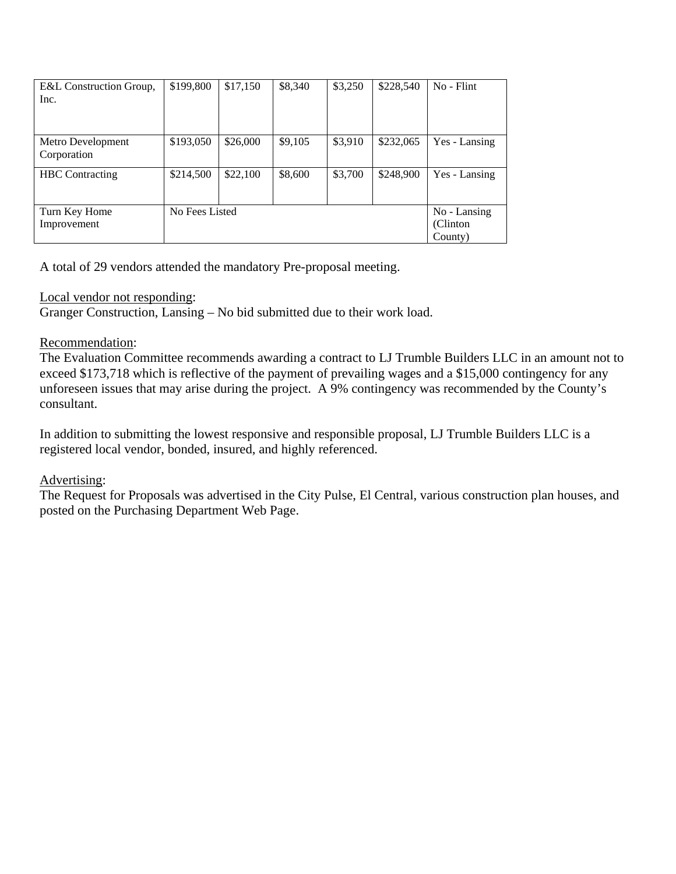| E&L Construction Group, | \$199,800      | \$17,150 | \$8,340 | \$3,250 | \$228,540 | No - Flint    |
|-------------------------|----------------|----------|---------|---------|-----------|---------------|
| Inc.                    |                |          |         |         |           |               |
|                         |                |          |         |         |           |               |
|                         |                |          |         |         |           |               |
| Metro Development       | \$193,050      | \$26,000 | \$9,105 | \$3,910 | \$232,065 | Yes - Lansing |
| Corporation             |                |          |         |         |           |               |
| <b>HBC</b> Contracting  | \$214,500      | \$22,100 | \$8,600 | \$3,700 | \$248,900 | Yes - Lansing |
|                         |                |          |         |         |           |               |
|                         |                |          |         |         |           |               |
| Turn Key Home           | No Fees Listed |          |         |         |           | No - Lansing  |
| Improvement             |                |          |         |         |           | (Clinton)     |
|                         |                |          |         |         |           | County)       |

A total of 29 vendors attended the mandatory Pre-proposal meeting.

## Local vendor not responding:

Granger Construction, Lansing – No bid submitted due to their work load.

## Recommendation:

The Evaluation Committee recommends awarding a contract to LJ Trumble Builders LLC in an amount not to exceed \$173,718 which is reflective of the payment of prevailing wages and a \$15,000 contingency for any unforeseen issues that may arise during the project. A 9% contingency was recommended by the County's consultant.

In addition to submitting the lowest responsive and responsible proposal, LJ Trumble Builders LLC is a registered local vendor, bonded, insured, and highly referenced.

## Advertising:

The Request for Proposals was advertised in the City Pulse, El Central, various construction plan houses, and posted on the Purchasing Department Web Page.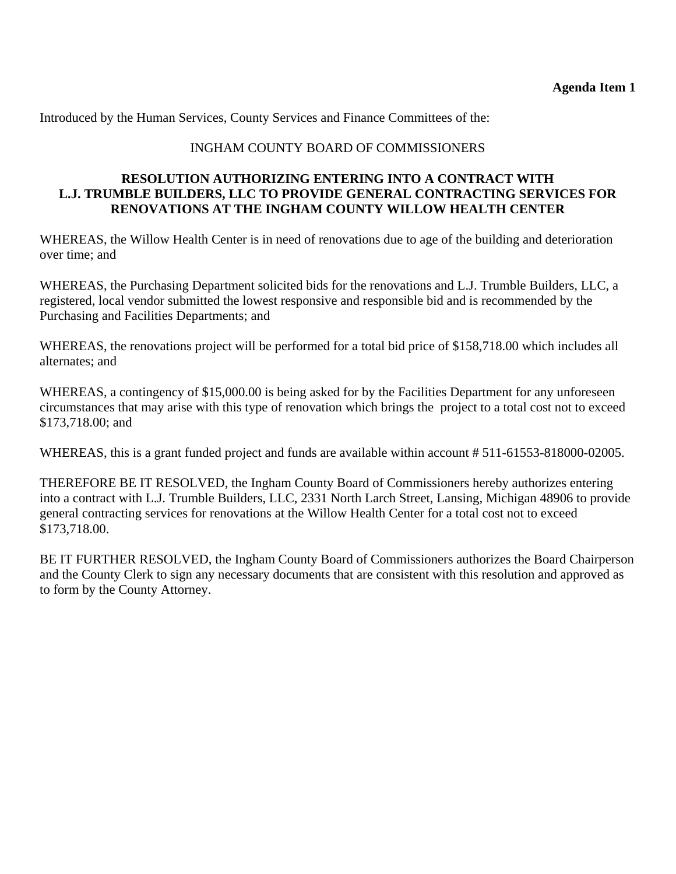Introduced by the Human Services, County Services and Finance Committees of the:

## INGHAM COUNTY BOARD OF COMMISSIONERS

#### **RESOLUTION AUTHORIZING ENTERING INTO A CONTRACT WITH L.J. TRUMBLE BUILDERS, LLC TO PROVIDE GENERAL CONTRACTING SERVICES FOR RENOVATIONS AT THE INGHAM COUNTY WILLOW HEALTH CENTER**

WHEREAS, the Willow Health Center is in need of renovations due to age of the building and deterioration over time; and

WHEREAS, the Purchasing Department solicited bids for the renovations and L.J. Trumble Builders, LLC, a registered, local vendor submitted the lowest responsive and responsible bid and is recommended by the Purchasing and Facilities Departments; and

WHEREAS, the renovations project will be performed for a total bid price of \$158,718.00 which includes all alternates; and

WHEREAS, a contingency of \$15,000.00 is being asked for by the Facilities Department for any unforeseen circumstances that may arise with this type of renovation which brings the project to a total cost not to exceed \$173,718.00; and

WHEREAS, this is a grant funded project and funds are available within account # 511-61553-818000-02005.

THEREFORE BE IT RESOLVED, the Ingham County Board of Commissioners hereby authorizes entering into a contract with L.J. Trumble Builders, LLC, 2331 North Larch Street, Lansing, Michigan 48906 to provide general contracting services for renovations at the Willow Health Center for a total cost not to exceed \$173,718.00.

BE IT FURTHER RESOLVED, the Ingham County Board of Commissioners authorizes the Board Chairperson and the County Clerk to sign any necessary documents that are consistent with this resolution and approved as to form by the County Attorney.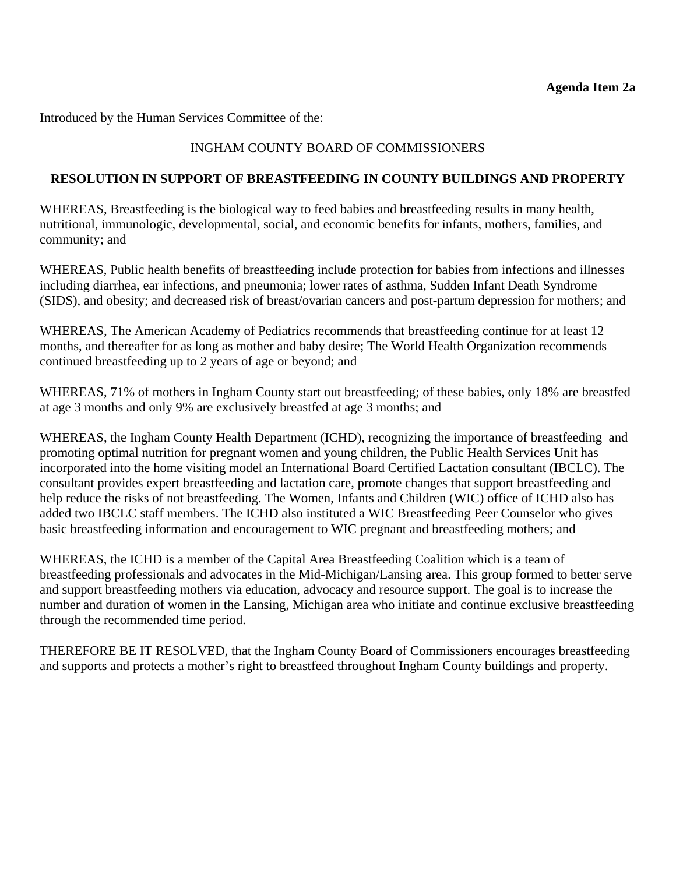<span id="page-11-0"></span>Introduced by the Human Services Committee of the:

## INGHAM COUNTY BOARD OF COMMISSIONERS

#### **RESOLUTION IN SUPPORT OF BREASTFEEDING IN COUNTY BUILDINGS AND PROPERTY**

WHEREAS, Breastfeeding is the biological way to feed babies and breastfeeding results in many health, nutritional, immunologic, developmental, social, and economic benefits for infants, mothers, families, and community; and

WHEREAS, Public health benefits of breastfeeding include protection for babies from infections and illnesses including diarrhea, ear infections, and pneumonia; lower rates of asthma, Sudden Infant Death Syndrome (SIDS), and obesity; and decreased risk of breast/ovarian cancers and post-partum depression for mothers; and

WHEREAS, The American Academy of Pediatrics recommends that breastfeeding continue for at least 12 months, and thereafter for as long as mother and baby desire; The World Health Organization recommends continued breastfeeding up to 2 years of age or beyond; and

WHEREAS, 71% of mothers in Ingham County start out breastfeeding; of these babies, only 18% are breastfed at age 3 months and only 9% are exclusively breastfed at age 3 months; and

WHEREAS, the Ingham County Health Department (ICHD), recognizing the importance of breastfeeding and promoting optimal nutrition for pregnant women and young children, the Public Health Services Unit has incorporated into the home visiting model an International Board Certified Lactation consultant (IBCLC). The consultant provides expert breastfeeding and lactation care, promote changes that support breastfeeding and help reduce the risks of not breastfeeding. The Women, Infants and Children (WIC) office of ICHD also has added two IBCLC staff members. The ICHD also instituted a WIC Breastfeeding Peer Counselor who gives basic breastfeeding information and encouragement to WIC pregnant and breastfeeding mothers; and

WHEREAS, the ICHD is a member of the Capital Area Breastfeeding Coalition which is a team of breastfeeding professionals and advocates in the Mid-Michigan/Lansing area. This group formed to better serve and support breastfeeding mothers via education, advocacy and resource support. The goal is to increase the number and duration of women in the Lansing, Michigan area who initiate and continue exclusive breastfeeding through the recommended time period.

THEREFORE BE IT RESOLVED, that the Ingham County Board of Commissioners encourages breastfeeding and supports and protects a mother's right to breastfeed throughout Ingham County buildings and property.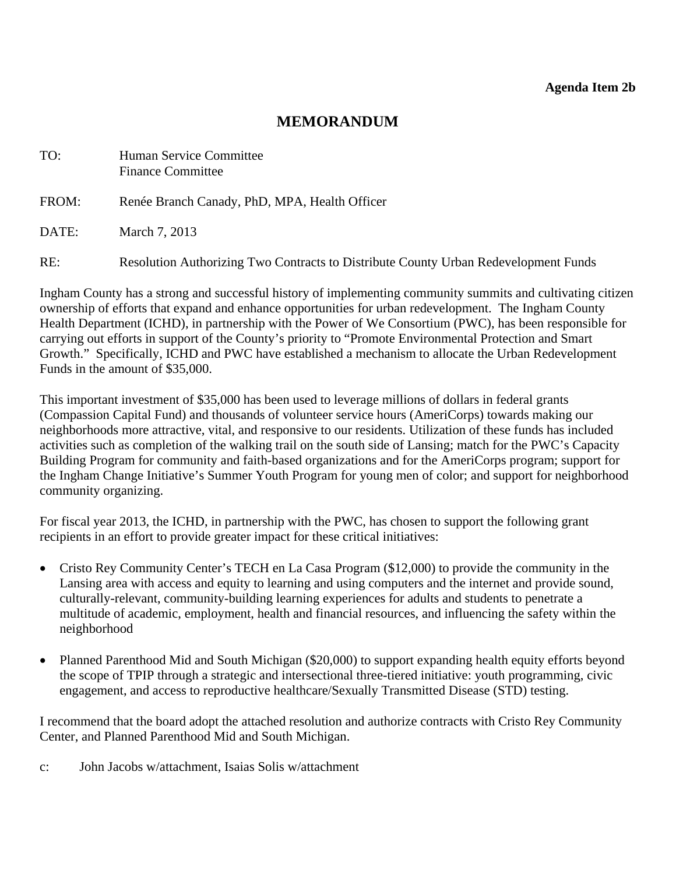## **MEMORANDUM**

<span id="page-12-0"></span>

| TO:   | Human Service Committee<br><b>Finance Committee</b>                                 |
|-------|-------------------------------------------------------------------------------------|
| FROM: | Renée Branch Canady, PhD, MPA, Health Officer                                       |
| DATE: | March 7, 2013                                                                       |
| RE:   | Resolution Authorizing Two Contracts to Distribute County Urban Redevelopment Funds |

Ingham County has a strong and successful history of implementing community summits and cultivating citizen ownership of efforts that expand and enhance opportunities for urban redevelopment. The Ingham County Health Department (ICHD), in partnership with the Power of We Consortium (PWC), has been responsible for carrying out efforts in support of the County's priority to "Promote Environmental Protection and Smart Growth." Specifically, ICHD and PWC have established a mechanism to allocate the Urban Redevelopment Funds in the amount of \$35,000.

This important investment of \$35,000 has been used to leverage millions of dollars in federal grants (Compassion Capital Fund) and thousands of volunteer service hours (AmeriCorps) towards making our neighborhoods more attractive, vital, and responsive to our residents. Utilization of these funds has included activities such as completion of the walking trail on the south side of Lansing; match for the PWC's Capacity Building Program for community and faith-based organizations and for the AmeriCorps program; support for the Ingham Change Initiative's Summer Youth Program for young men of color; and support for neighborhood community organizing.

For fiscal year 2013, the ICHD, in partnership with the PWC, has chosen to support the following grant recipients in an effort to provide greater impact for these critical initiatives:

- Cristo Rey Community Center's TECH en La Casa Program (\$12,000) to provide the community in the Lansing area with access and equity to learning and using computers and the internet and provide sound, culturally-relevant, community-building learning experiences for adults and students to penetrate a multitude of academic, employment, health and financial resources, and influencing the safety within the neighborhood
- Planned Parenthood Mid and South Michigan (\$20,000) to support expanding health equity efforts beyond the scope of TPIP through a strategic and intersectional three-tiered initiative: youth programming, civic engagement, and access to reproductive healthcare/Sexually Transmitted Disease (STD) testing.

I recommend that the board adopt the attached resolution and authorize contracts with Cristo Rey Community Center, and Planned Parenthood Mid and South Michigan.

c: John Jacobs w/attachment, Isaias Solis w/attachment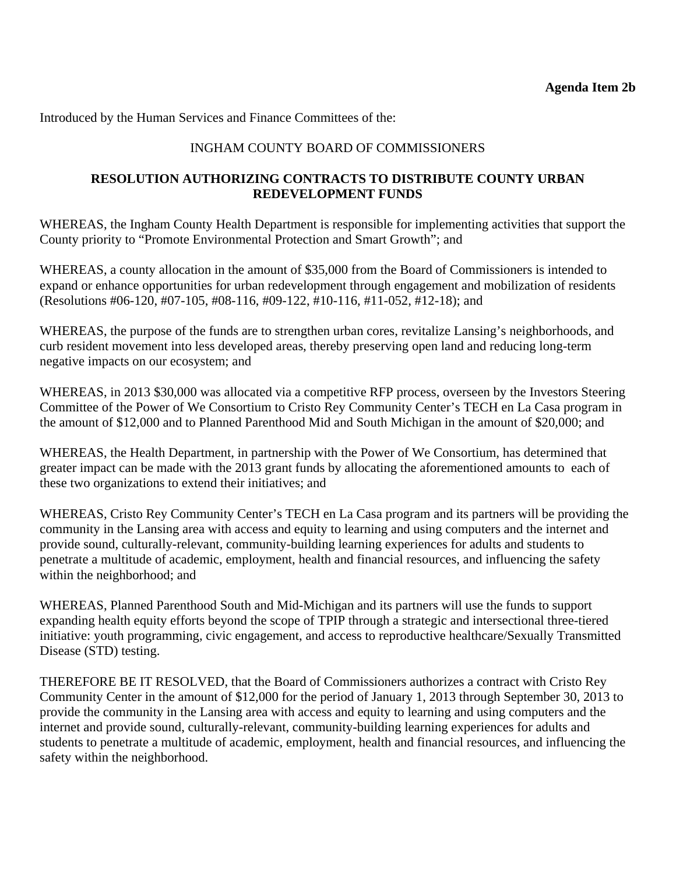Introduced by the Human Services and Finance Committees of the:

## INGHAM COUNTY BOARD OF COMMISSIONERS

#### **RESOLUTION AUTHORIZING CONTRACTS TO DISTRIBUTE COUNTY URBAN REDEVELOPMENT FUNDS**

WHEREAS, the Ingham County Health Department is responsible for implementing activities that support the County priority to "Promote Environmental Protection and Smart Growth"; and

WHEREAS, a county allocation in the amount of \$35,000 from the Board of Commissioners is intended to expand or enhance opportunities for urban redevelopment through engagement and mobilization of residents (Resolutions #06-120, #07-105, #08-116, #09-122, #10-116, #11-052, #12-18); and

WHEREAS, the purpose of the funds are to strengthen urban cores, revitalize Lansing's neighborhoods, and curb resident movement into less developed areas, thereby preserving open land and reducing long-term negative impacts on our ecosystem; and

WHEREAS, in 2013 \$30,000 was allocated via a competitive RFP process, overseen by the Investors Steering Committee of the Power of We Consortium to Cristo Rey Community Center's TECH en La Casa program in the amount of \$12,000 and to Planned Parenthood Mid and South Michigan in the amount of \$20,000; and

WHEREAS, the Health Department, in partnership with the Power of We Consortium, has determined that greater impact can be made with the 2013 grant funds by allocating the aforementioned amounts to each of these two organizations to extend their initiatives; and

WHEREAS, Cristo Rey Community Center's TECH en La Casa program and its partners will be providing the community in the Lansing area with access and equity to learning and using computers and the internet and provide sound, culturally-relevant, community-building learning experiences for adults and students to penetrate a multitude of academic, employment, health and financial resources, and influencing the safety within the neighborhood; and

WHEREAS, Planned Parenthood South and Mid-Michigan and its partners will use the funds to support expanding health equity efforts beyond the scope of TPIP through a strategic and intersectional three-tiered initiative: youth programming, civic engagement, and access to reproductive healthcare/Sexually Transmitted Disease (STD) testing.

THEREFORE BE IT RESOLVED, that the Board of Commissioners authorizes a contract with Cristo Rey Community Center in the amount of \$12,000 for the period of January 1, 2013 through September 30, 2013 to provide the community in the Lansing area with access and equity to learning and using computers and the internet and provide sound, culturally-relevant, community-building learning experiences for adults and students to penetrate a multitude of academic, employment, health and financial resources, and influencing the safety within the neighborhood.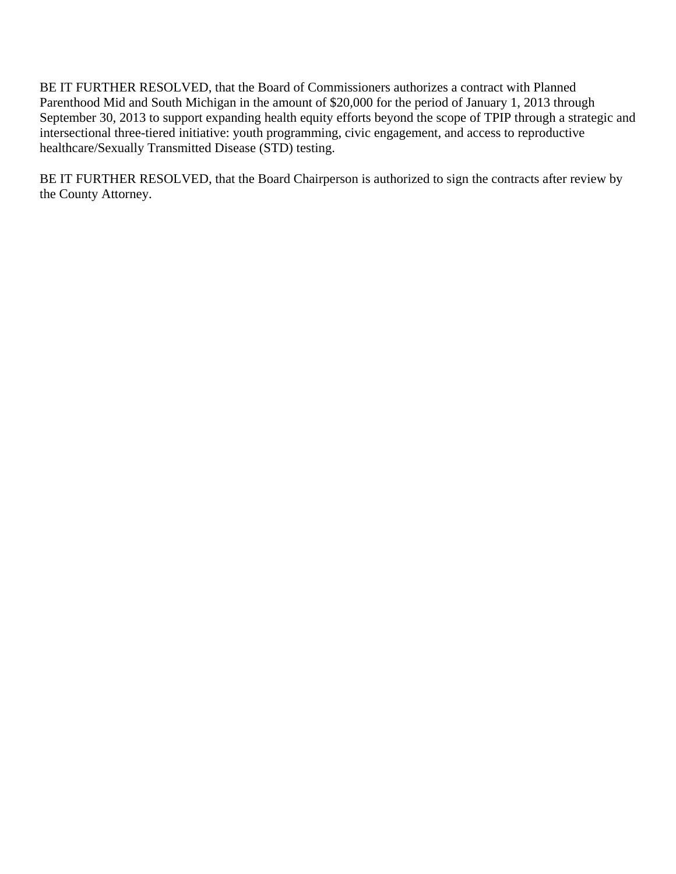BE IT FURTHER RESOLVED, that the Board of Commissioners authorizes a contract with Planned Parenthood Mid and South Michigan in the amount of \$20,000 for the period of January 1, 2013 through September 30, 2013 to support expanding health equity efforts beyond the scope of TPIP through a strategic and intersectional three-tiered initiative: youth programming, civic engagement, and access to reproductive healthcare/Sexually Transmitted Disease (STD) testing.

BE IT FURTHER RESOLVED, that the Board Chairperson is authorized to sign the contracts after review by the County Attorney.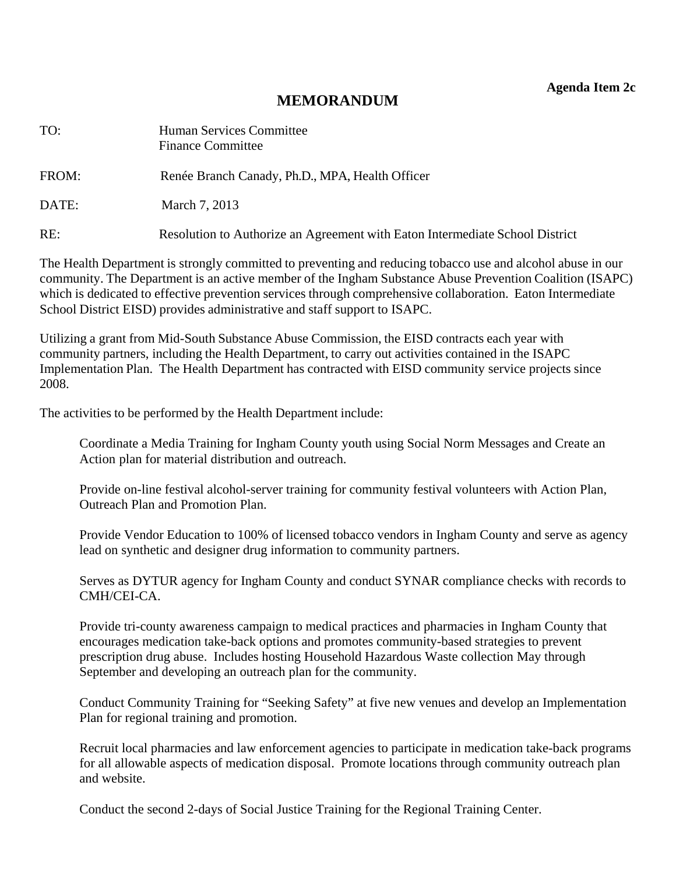**Agenda Item 2c** 

## **MEMORANDUM**

<span id="page-15-0"></span>

| TO:   | Human Services Committee<br><b>Finance Committee</b>                         |
|-------|------------------------------------------------------------------------------|
| FROM: | Renée Branch Canady, Ph.D., MPA, Health Officer                              |
| DATE: | March 7, 2013                                                                |
| RE:   | Resolution to Authorize an Agreement with Eaton Intermediate School District |

The Health Department is strongly committed to preventing and reducing tobacco use and alcohol abuse in our community. The Department is an active member of the Ingham Substance Abuse Prevention Coalition (ISAPC) which is dedicated to effective prevention services through comprehensive collaboration. Eaton Intermediate School District EISD) provides administrative and staff support to ISAPC.

Utilizing a grant from Mid-South Substance Abuse Commission, the EISD contracts each year with community partners, including the Health Department, to carry out activities contained in the ISAPC Implementation Plan. The Health Department has contracted with EISD community service projects since 2008.

The activities to be performed by the Health Department include:

Coordinate a Media Training for Ingham County youth using Social Norm Messages and Create an Action plan for material distribution and outreach.

Provide on-line festival alcohol-server training for community festival volunteers with Action Plan, Outreach Plan and Promotion Plan.

Provide Vendor Education to 100% of licensed tobacco vendors in Ingham County and serve as agency lead on synthetic and designer drug information to community partners.

Serves as DYTUR agency for Ingham County and conduct SYNAR compliance checks with records to CMH/CEI-CA.

Provide tri-county awareness campaign to medical practices and pharmacies in Ingham County that encourages medication take-back options and promotes community-based strategies to prevent prescription drug abuse. Includes hosting Household Hazardous Waste collection May through September and developing an outreach plan for the community.

Conduct Community Training for "Seeking Safety" at five new venues and develop an Implementation Plan for regional training and promotion.

Recruit local pharmacies and law enforcement agencies to participate in medication take-back programs for all allowable aspects of medication disposal. Promote locations through community outreach plan and website.

Conduct the second 2-days of Social Justice Training for the Regional Training Center.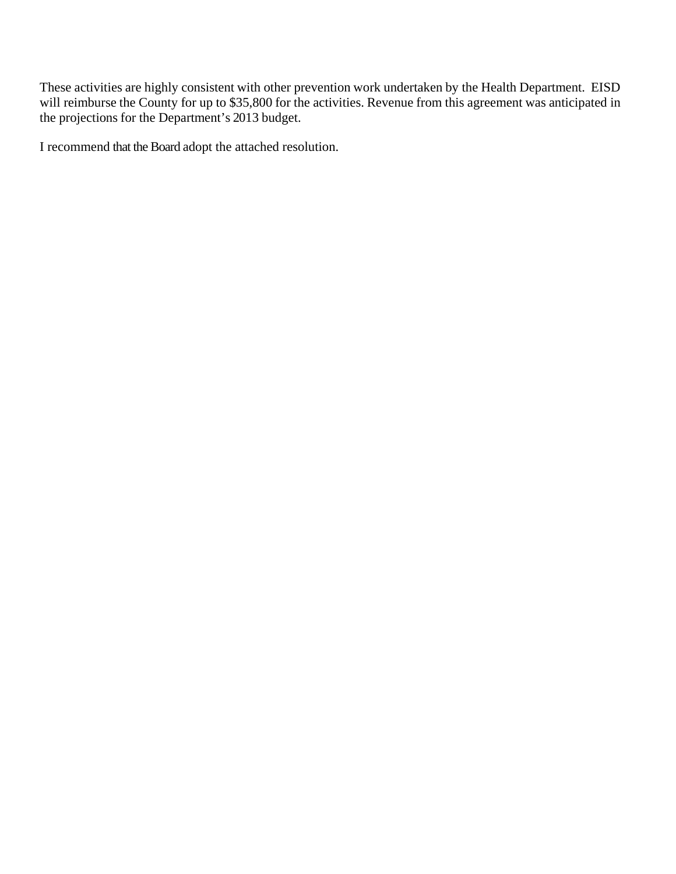These activities are highly consistent with other prevention work undertaken by the Health Department. EISD will reimburse the County for up to \$35,800 for the activities. Revenue from this agreement was anticipated in the projections for the Department's 2013 budget.

I recommend that the Board adopt the attached resolution.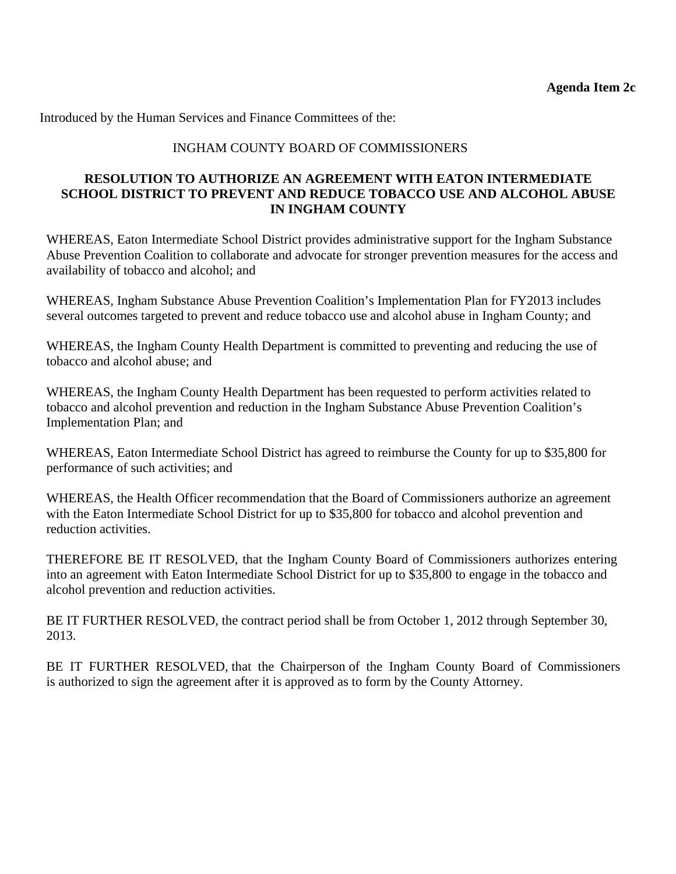Introduced by the Human Services and Finance Committees of the:

#### INGHAM COUNTY BOARD OF COMMISSIONERS

#### **RESOLUTION TO AUTHORIZE AN AGREEMENT WITH EATON INTERMEDIATE SCHOOL DISTRICT TO PREVENT AND REDUCE TOBACCO USE AND ALCOHOL ABUSE IN INGHAM COUNTY**

WHEREAS, Eaton Intermediate School District provides administrative support for the Ingham Substance Abuse Prevention Coalition to collaborate and advocate for stronger prevention measures for the access and availability of tobacco and alcohol; and

WHEREAS, Ingham Substance Abuse Prevention Coalition's Implementation Plan for FY2013 includes several outcomes targeted to prevent and reduce tobacco use and alcohol abuse in Ingham County; and

WHEREAS, the Ingham County Health Department is committed to preventing and reducing the use of tobacco and alcohol abuse; and

WHEREAS, the Ingham County Health Department has been requested to perform activities related to tobacco and alcohol prevention and reduction in the Ingham Substance Abuse Prevention Coalition's Implementation Plan; and

WHEREAS, Eaton Intermediate School District has agreed to reimburse the County for up to \$35,800 for performance of such activities; and

WHEREAS, the Health Officer recommendation that the Board of Commissioners authorize an agreement with the Eaton Intermediate School District for up to \$35,800 for tobacco and alcohol prevention and reduction activities.

THEREFORE BE IT RESOLVED, that the Ingham County Board of Commissioners authorizes entering into an agreement with Eaton Intermediate School District for up to \$35,800 to engage in the tobacco and alcohol prevention and reduction activities.

BE IT FURTHER RESOLVED, the contract period shall be from October 1, 2012 through September 30, 2013.

BE IT FURTHER RESOLVED, that the Chairperson of the Ingham County Board of Commissioners is authorized to sign the agreement after it is approved as to form by the County Attorney.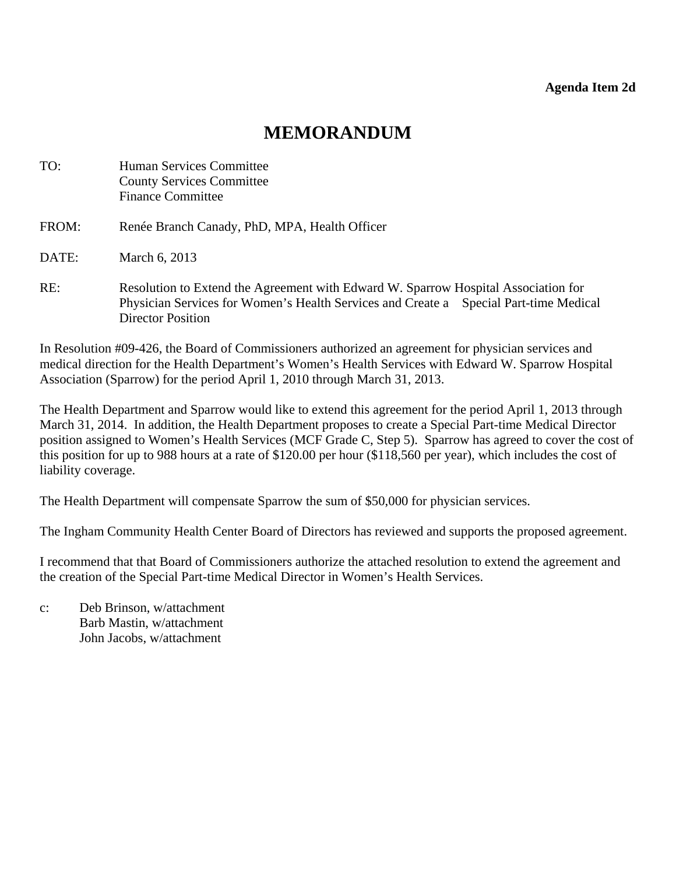# **MEMORANDUM**

<span id="page-18-0"></span>

| TO:   | <b>Human Services Committee</b><br><b>County Services Committee</b><br><b>Finance Committee</b>                                                                                                         |
|-------|---------------------------------------------------------------------------------------------------------------------------------------------------------------------------------------------------------|
| FROM: | Renée Branch Canady, PhD, MPA, Health Officer                                                                                                                                                           |
| DATE: | March 6, 2013                                                                                                                                                                                           |
| RE:   | Resolution to Extend the Agreement with Edward W. Sparrow Hospital Association for<br>Physician Services for Women's Health Services and Create a Special Part-time Medical<br><b>Director Position</b> |

In Resolution #09-426, the Board of Commissioners authorized an agreement for physician services and medical direction for the Health Department's Women's Health Services with Edward W. Sparrow Hospital Association (Sparrow) for the period April 1, 2010 through March 31, 2013.

The Health Department and Sparrow would like to extend this agreement for the period April 1, 2013 through March 31, 2014. In addition, the Health Department proposes to create a Special Part-time Medical Director position assigned to Women's Health Services (MCF Grade C, Step 5). Sparrow has agreed to cover the cost of this position for up to 988 hours at a rate of \$120.00 per hour (\$118,560 per year), which includes the cost of liability coverage.

The Health Department will compensate Sparrow the sum of \$50,000 for physician services.

The Ingham Community Health Center Board of Directors has reviewed and supports the proposed agreement.

I recommend that that Board of Commissioners authorize the attached resolution to extend the agreement and the creation of the Special Part-time Medical Director in Women's Health Services.

c: Deb Brinson, w/attachment Barb Mastin, w/attachment John Jacobs, w/attachment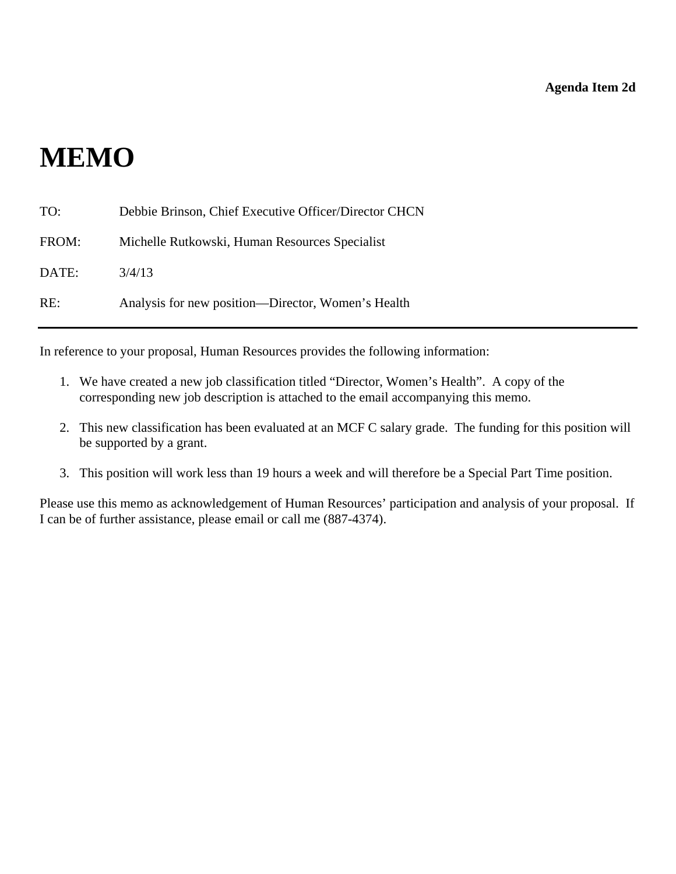# **MEMO**

| TO:   | Debbie Brinson, Chief Executive Officer/Director CHCN |
|-------|-------------------------------------------------------|
| FROM: | Michelle Rutkowski, Human Resources Specialist        |
| DATE: | 3/4/13                                                |
| RE:   | Analysis for new position—Director, Women's Health    |

In reference to your proposal, Human Resources provides the following information:

- 1. We have created a new job classification titled "Director, Women's Health". A copy of the corresponding new job description is attached to the email accompanying this memo.
- 2. This new classification has been evaluated at an MCF C salary grade. The funding for this position will be supported by a grant.
- 3. This position will work less than 19 hours a week and will therefore be a Special Part Time position.

Please use this memo as acknowledgement of Human Resources' participation and analysis of your proposal. If I can be of further assistance, please email or call me (887-4374).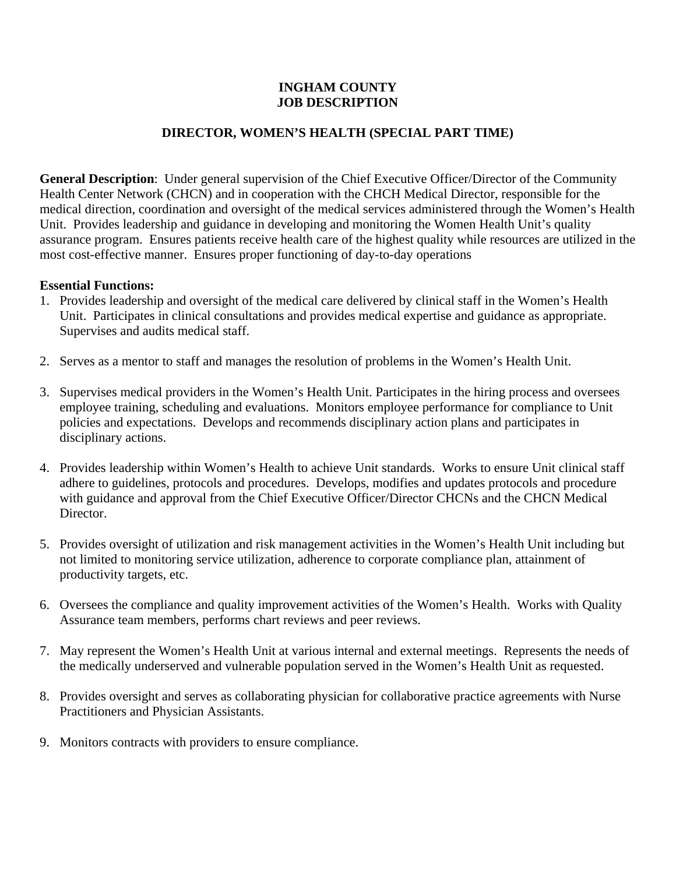#### **INGHAM COUNTY JOB DESCRIPTION**

## **DIRECTOR, WOMEN'S HEALTH (SPECIAL PART TIME)**

**General Description**: Under general supervision of the Chief Executive Officer/Director of the Community Health Center Network (CHCN) and in cooperation with the CHCH Medical Director, responsible for the medical direction, coordination and oversight of the medical services administered through the Women's Health Unit. Provides leadership and guidance in developing and monitoring the Women Health Unit's quality assurance program. Ensures patients receive health care of the highest quality while resources are utilized in the most cost-effective manner. Ensures proper functioning of day-to-day operations

#### **Essential Functions:**

- 1. Provides leadership and oversight of the medical care delivered by clinical staff in the Women's Health Unit. Participates in clinical consultations and provides medical expertise and guidance as appropriate. Supervises and audits medical staff.
- 2. Serves as a mentor to staff and manages the resolution of problems in the Women's Health Unit.
- 3. Supervises medical providers in the Women's Health Unit. Participates in the hiring process and oversees employee training, scheduling and evaluations. Monitors employee performance for compliance to Unit policies and expectations. Develops and recommends disciplinary action plans and participates in disciplinary actions.
- 4. Provides leadership within Women's Health to achieve Unit standards. Works to ensure Unit clinical staff adhere to guidelines, protocols and procedures. Develops, modifies and updates protocols and procedure with guidance and approval from the Chief Executive Officer/Director CHCNs and the CHCN Medical Director.
- 5. Provides oversight of utilization and risk management activities in the Women's Health Unit including but not limited to monitoring service utilization, adherence to corporate compliance plan, attainment of productivity targets, etc.
- 6. Oversees the compliance and quality improvement activities of the Women's Health. Works with Quality Assurance team members, performs chart reviews and peer reviews.
- 7. May represent the Women's Health Unit at various internal and external meetings. Represents the needs of the medically underserved and vulnerable population served in the Women's Health Unit as requested.
- 8. Provides oversight and serves as collaborating physician for collaborative practice agreements with Nurse Practitioners and Physician Assistants.
- 9. Monitors contracts with providers to ensure compliance.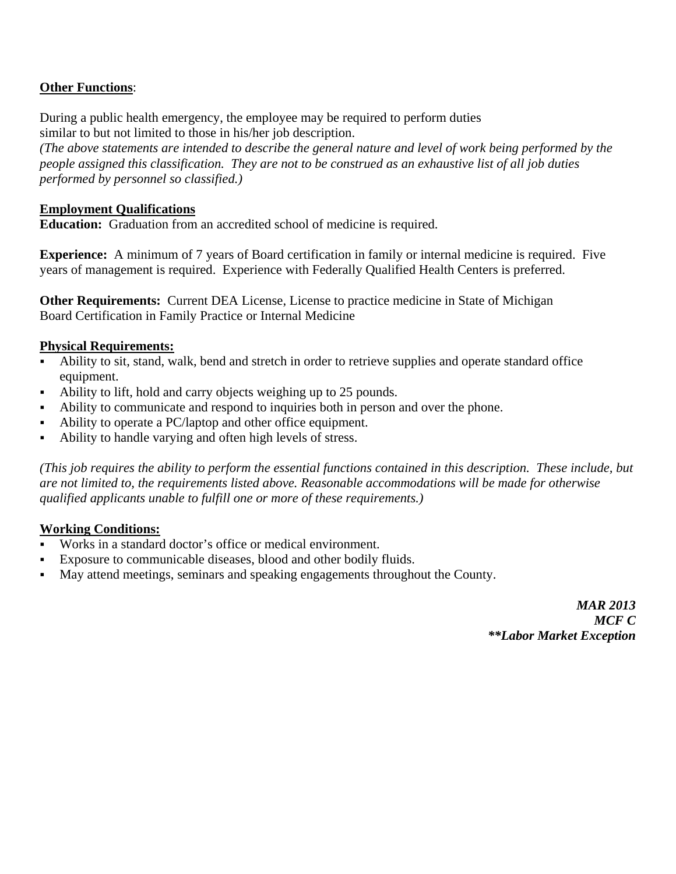## **Other Functions**:

During a public health emergency, the employee may be required to perform duties similar to but not limited to those in his/her job description.

*(The above statements are intended to describe the general nature and level of work being performed by the people assigned this classification. They are not to be construed as an exhaustive list of all job duties performed by personnel so classified.)* 

#### **Employment Qualifications**

**Education:** Graduation from an accredited school of medicine is required.

**Experience:** A minimum of 7 years of Board certification in family or internal medicine is required. Five years of management is required. Experience with Federally Qualified Health Centers is preferred.

**Other Requirements:** Current DEA License, License to practice medicine in State of Michigan Board Certification in Family Practice or Internal Medicine

#### **Physical Requirements:**

- Ability to sit, stand, walk, bend and stretch in order to retrieve supplies and operate standard office equipment.
- Ability to lift, hold and carry objects weighing up to 25 pounds.
- Ability to communicate and respond to inquiries both in person and over the phone.
- Ability to operate a PC/laptop and other office equipment.
- Ability to handle varying and often high levels of stress.

*(This job requires the ability to perform the essential functions contained in this description. These include, but are not limited to, the requirements listed above. Reasonable accommodations will be made for otherwise qualified applicants unable to fulfill one or more of these requirements.)* 

#### **Working Conditions:**

- Works in a standard doctor's office or medical environment.
- Exposure to communicable diseases, blood and other bodily fluids.
- May attend meetings, seminars and speaking engagements throughout the County.

*MAR 2013 MCF C \*\*Labor Market Exception*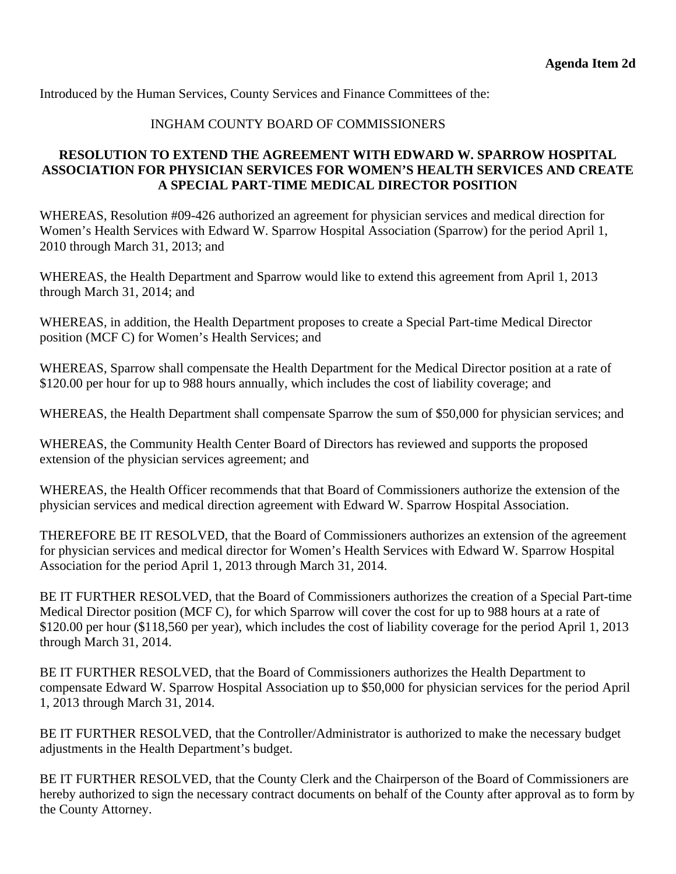Introduced by the Human Services, County Services and Finance Committees of the:

## INGHAM COUNTY BOARD OF COMMISSIONERS

## **RESOLUTION TO EXTEND THE AGREEMENT WITH EDWARD W. SPARROW HOSPITAL ASSOCIATION FOR PHYSICIAN SERVICES FOR WOMEN'S HEALTH SERVICES AND CREATE A SPECIAL PART-TIME MEDICAL DIRECTOR POSITION**

WHEREAS, Resolution #09-426 authorized an agreement for physician services and medical direction for Women's Health Services with Edward W. Sparrow Hospital Association (Sparrow) for the period April 1, 2010 through March 31, 2013; and

WHEREAS, the Health Department and Sparrow would like to extend this agreement from April 1, 2013 through March 31, 2014; and

WHEREAS, in addition, the Health Department proposes to create a Special Part-time Medical Director position (MCF C) for Women's Health Services; and

WHEREAS, Sparrow shall compensate the Health Department for the Medical Director position at a rate of \$120.00 per hour for up to 988 hours annually, which includes the cost of liability coverage; and

WHEREAS, the Health Department shall compensate Sparrow the sum of \$50,000 for physician services; and

WHEREAS, the Community Health Center Board of Directors has reviewed and supports the proposed extension of the physician services agreement; and

WHEREAS, the Health Officer recommends that that Board of Commissioners authorize the extension of the physician services and medical direction agreement with Edward W. Sparrow Hospital Association.

THEREFORE BE IT RESOLVED, that the Board of Commissioners authorizes an extension of the agreement for physician services and medical director for Women's Health Services with Edward W. Sparrow Hospital Association for the period April 1, 2013 through March 31, 2014.

BE IT FURTHER RESOLVED, that the Board of Commissioners authorizes the creation of a Special Part-time Medical Director position (MCF C), for which Sparrow will cover the cost for up to 988 hours at a rate of \$120.00 per hour (\$118,560 per year), which includes the cost of liability coverage for the period April 1, 2013 through March 31, 2014.

BE IT FURTHER RESOLVED, that the Board of Commissioners authorizes the Health Department to compensate Edward W. Sparrow Hospital Association up to \$50,000 for physician services for the period April 1, 2013 through March 31, 2014.

BE IT FURTHER RESOLVED, that the Controller/Administrator is authorized to make the necessary budget adjustments in the Health Department's budget.

BE IT FURTHER RESOLVED, that the County Clerk and the Chairperson of the Board of Commissioners are hereby authorized to sign the necessary contract documents on behalf of the County after approval as to form by the County Attorney.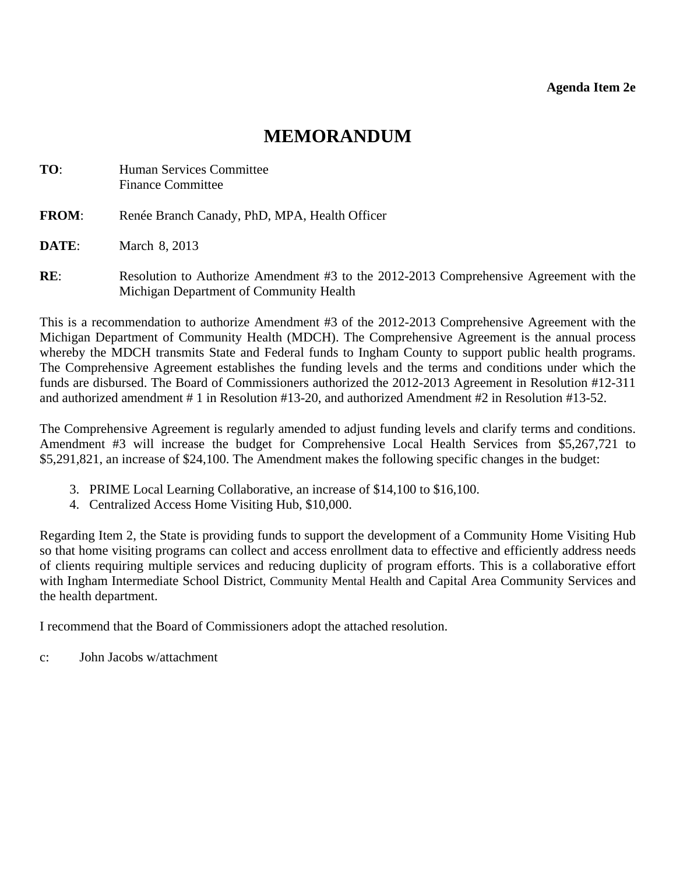## **MEMORANDUM**

<span id="page-23-0"></span>

| TO:          | Human Services Committee<br><b>Finance Committee</b>                                                                              |
|--------------|-----------------------------------------------------------------------------------------------------------------------------------|
| <b>FROM:</b> | Renée Branch Canady, PhD, MPA, Health Officer                                                                                     |
| DATE:        | March 8, 2013                                                                                                                     |
| RE:          | Resolution to Authorize Amendment #3 to the 2012-2013 Comprehensive Agreement with the<br>Michigan Department of Community Health |

This is a recommendation to authorize Amendment #3 of the 2012-2013 Comprehensive Agreement with the Michigan Department of Community Health (MDCH). The Comprehensive Agreement is the annual process whereby the MDCH transmits State and Federal funds to Ingham County to support public health programs. The Comprehensive Agreement establishes the funding levels and the terms and conditions under which the funds are disbursed. The Board of Commissioners authorized the 2012-2013 Agreement in Resolution #12-311 and authorized amendment # 1 in Resolution #13-20, and authorized Amendment #2 in Resolution #13-52.

The Comprehensive Agreement is regularly amended to adjust funding levels and clarify terms and conditions. Amendment #3 will increase the budget for Comprehensive Local Health Services from \$5,267,721 to \$5,291,821, an increase of \$24,100. The Amendment makes the following specific changes in the budget:

- 3. PRIME Local Learning Collaborative, an increase of \$14,100 to \$16,100.
- 4. Centralized Access Home Visiting Hub, \$10,000.

Regarding Item 2, the State is providing funds to support the development of a Community Home Visiting Hub so that home visiting programs can collect and access enrollment data to effective and efficiently address needs of clients requiring multiple services and reducing duplicity of program efforts. This is a collaborative effort with Ingham Intermediate School District, Community Mental Health and Capital Area Community Services and the health department.

I recommend that the Board of Commissioners adopt the attached resolution.

c: John Jacobs w/attachment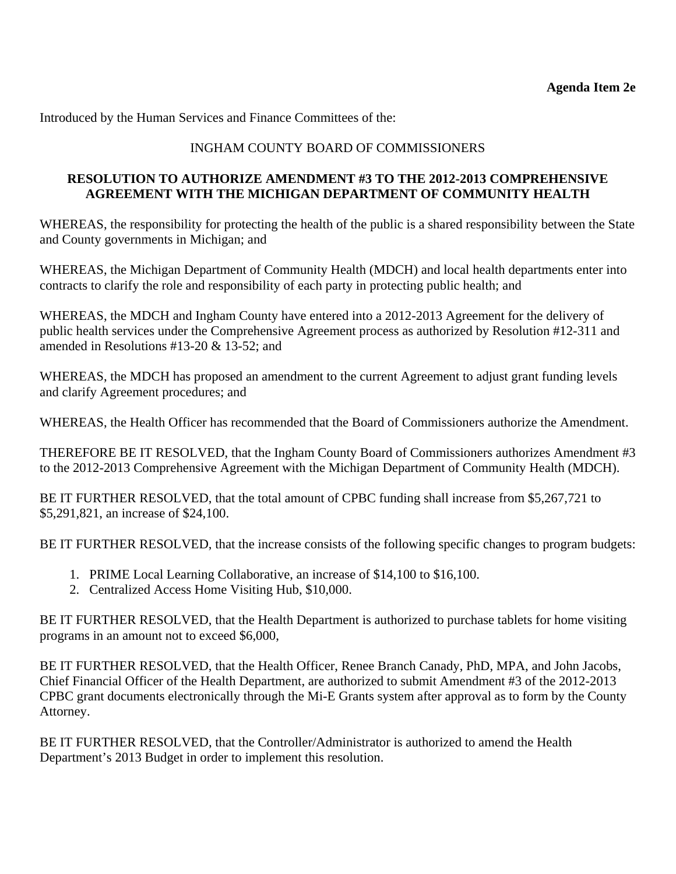Introduced by the Human Services and Finance Committees of the:

## INGHAM COUNTY BOARD OF COMMISSIONERS

## **RESOLUTION TO AUTHORIZE AMENDMENT #3 TO THE 2012-2013 COMPREHENSIVE AGREEMENT WITH THE MICHIGAN DEPARTMENT OF COMMUNITY HEALTH**

WHEREAS, the responsibility for protecting the health of the public is a shared responsibility between the State and County governments in Michigan; and

WHEREAS, the Michigan Department of Community Health (MDCH) and local health departments enter into contracts to clarify the role and responsibility of each party in protecting public health; and

WHEREAS, the MDCH and Ingham County have entered into a 2012-2013 Agreement for the delivery of public health services under the Comprehensive Agreement process as authorized by Resolution #12-311 and amended in Resolutions #13-20 & 13-52; and

WHEREAS, the MDCH has proposed an amendment to the current Agreement to adjust grant funding levels and clarify Agreement procedures; and

WHEREAS, the Health Officer has recommended that the Board of Commissioners authorize the Amendment.

THEREFORE BE IT RESOLVED, that the Ingham County Board of Commissioners authorizes Amendment #3 to the 2012-2013 Comprehensive Agreement with the Michigan Department of Community Health (MDCH).

BE IT FURTHER RESOLVED, that the total amount of CPBC funding shall increase from \$5,267,721 to \$5,291,821, an increase of \$24,100.

BE IT FURTHER RESOLVED, that the increase consists of the following specific changes to program budgets:

- 1. PRIME Local Learning Collaborative, an increase of \$14,100 to \$16,100.
- 2. Centralized Access Home Visiting Hub, \$10,000.

BE IT FURTHER RESOLVED, that the Health Department is authorized to purchase tablets for home visiting programs in an amount not to exceed \$6,000,

BE IT FURTHER RESOLVED, that the Health Officer, Renee Branch Canady, PhD, MPA, and John Jacobs, Chief Financial Officer of the Health Department, are authorized to submit Amendment #3 of the 2012-2013 CPBC grant documents electronically through the Mi-E Grants system after approval as to form by the County Attorney.

BE IT FURTHER RESOLVED, that the Controller/Administrator is authorized to amend the Health Department's 2013 Budget in order to implement this resolution.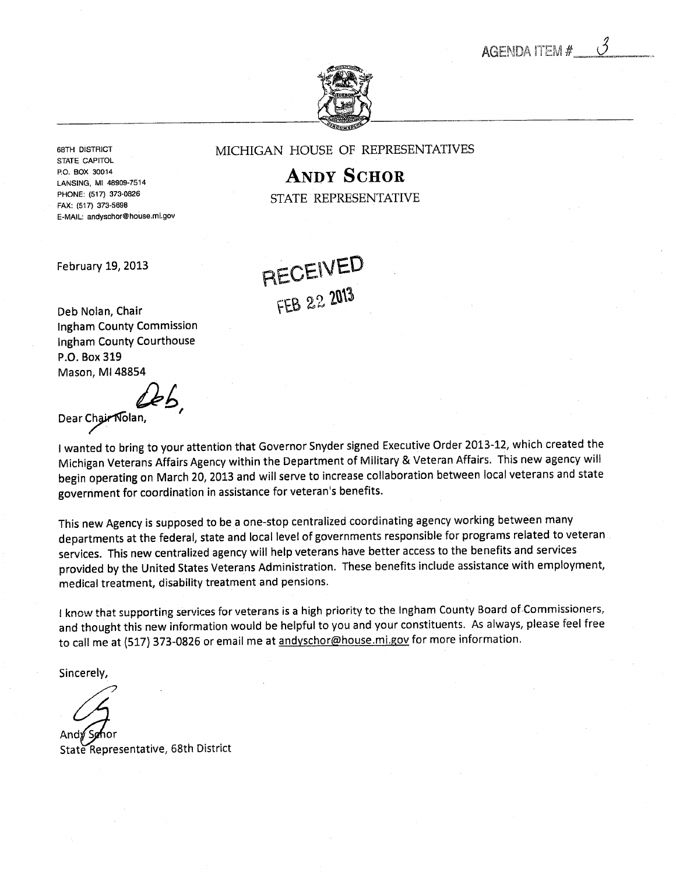**AGENDA ITEM #** 



STATE CAPITOL PHONE: (517) 373-0826 FAX: (517) 373-5698 E-MAIL: andysohor@house.mi.gov

<span id="page-25-0"></span>68TH DISTRICT **MICHIGAN HOUSE OF REPRESENTATIVES** 

P.O. BOX 30014  $\mathbf{ANDY}$   $\mathbf{SCHOR}$ STATE REPRESENTATIVE

February 19, 2013

RECEIVED  $FECEVCE$ 

Deb Nolan, Chair Ingham County Commission Ingham County Courthouse P.O. Box 319 Mason, Ml 48854

LEL Dear Chair Nolan,

I wanted to bring to your attention that Governor Snyder signed Executive Order 2013-12, which created the Michigan Veterans Affairs Agency within the Department of Military & Veteran Affairs. This new agency will begin operating on March 20, 2013 and will serve to increase collaboration between local veterans and state government for coordination in assistance for veteran's benefits.

This new Agency is supposed to be a one-stop centralized coordinating agency working between many departments at the federal, state and local level of governments responsible for programs related to veteran services. This new centralized agency will help veterans have better access to the benefits and services provided by the United States Veterans Administration. These benefits include assistance with employment, medical treatment, disability treatment and pensions.

I know that supporting services for veterans is a high priority to the Ingham County Board of Commissioners, and thought this new information would be helpful to you and your constituents. As always, please feel free to call me at (517) 373-0826 or email me at andyschor@house.mi.gov for more information.

Sincerely,

Andø Søhor

State Representative, 68th District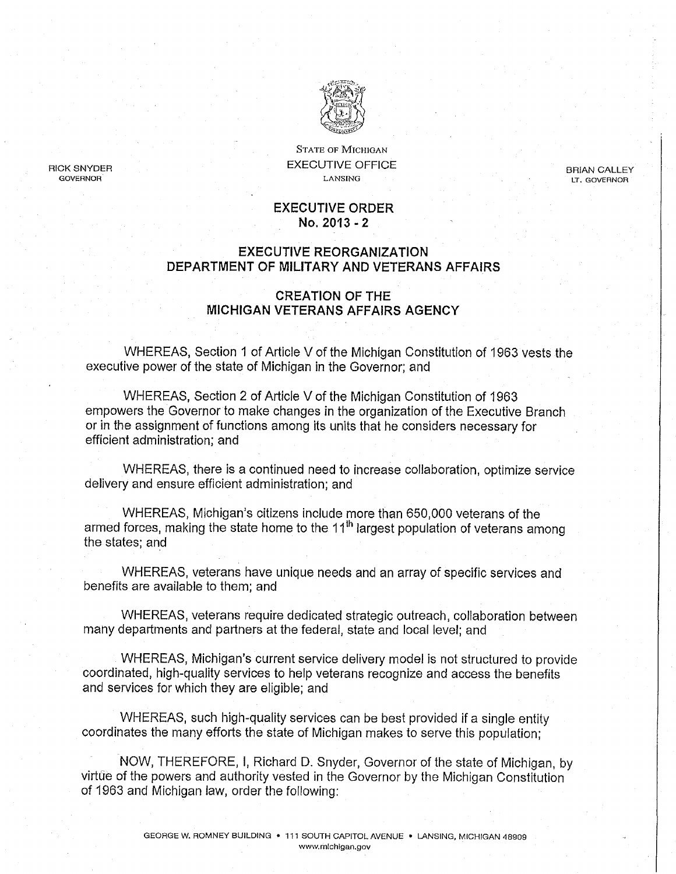

STATE OF MICHIGAN RICK SNYDER EXECUTIVE OFFICE BRIAN CALLEY GOVERNOR LANSING LT. GOVERNOR

#### EXECUTIVE ORDER No, 2013-2

#### EXECUTIVE REORGANIZATION DEPARTMENT OF MILITARY AND VETERANS AFFAIRS

#### CREATION OF THE MICHIGAN VETERANS AFFAIRS AGENCY

WHEREAS, Section 1 of Article V of the Michigan Constitution of 1963 vests the executive power of the state of Michigan in the Governor; and

WHEREAS, Section 2 of Article V of the Michigan Constitution of 1963 empowers the Governor to make changes in the organization of the Executive Branch or in the assignment of functions among its units that he considers necessary for efficient administration; and

WHEREAS, there is a continued need to increase collaboration, optimize service delivery and ensure efficient administration; and

WHEREAS, Michigan's citizens include more than 650,000 veterans of the armed forces, making the state home to the 11<sup>th</sup> largest population of veterans among the states; and

WHEREAS, veterans have unique needs and an array of specific services and benefits are available to them; and

WHEREAS, veterans require dedicated strategic outreach, collaboration between many departments and partners at the federal, state and local level; and

WHEREAS, Michigan's current service delivery model is not structured to provide coordinated, high-quality services to help veterans recognize and access the benefits and services for which they are eligible; and

WHEREAS, such high-quality services can be best provided if a single entity coordinates the many efforts the state of Michigan makes to serve this population;

NOW, THEREFORE, I, Richard D. Snyder, Governor of the state of Michigan, by virtue of the powers and authority vested in the Governor by the Michigan Constitution of 1963 and Michigan law, order the following;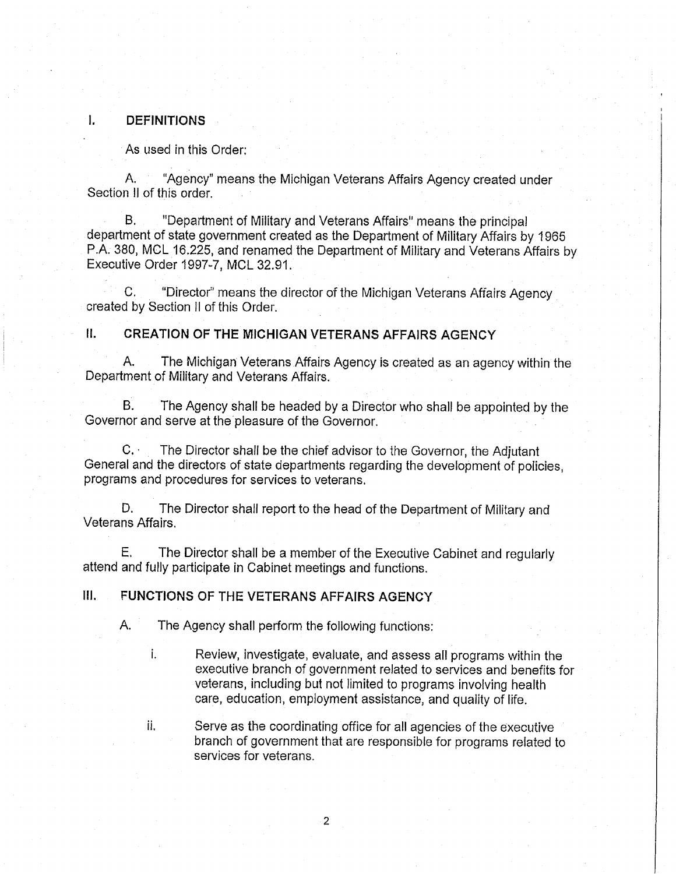#### I. DEFINITIONS

As used in this Order:

A. "Agency" means the Michigan Veterans Affairs Agency created under Section II of this order.

B. "Department of Military and Veterans Affairs" means the principal department of state government created as the Department of Military Affairs by 1965 P.A. 380, MCL 16.225, and renamed the Department of Military and Veterans Affairs by Executive Order 1997-7, MCL 32.91.

C. "Director" means the director of the Michigan Veterans Affairs Agency created by Section II of this Order.

#### II. CREATION OF THE MICHIGAN VETERANS AFFAIRS AGENCY

A. The Michigan Veterans Affairs Agency is created as an agency within the Department of Military and Veterans Affairs.

B. The Agency shall be headed by a Director who shall be appointed by the Governor and serve at the pleasure of the Governor.

C. The Director shall be the chief advisor to the Governor, the Adjutant General and the directors of state departments regarding the development of poiicies, programs and procedures for services to veterans.

D. The Director shall report to the head of the Department of Military and Veterans Affairs.

E. The Director shall be a member of the Executive Cabinet and regularly attend and fully participate in Cabinet meetings and functions.

## III. FUNCTIONS OF THE VETERANS AFFAIRS AGENCY

A. The Agency shall perform the following functions:

i. Review, investigate, evaluate, and assess all programs within the executive branch of government related to services and benefits for veterans, including but not limited to programs involving health care, education, employment assistance, and quality of life.

ii. Serve as the coordinating office for all agencies of the executive branch of government that are responsible for programs related to services for veterans.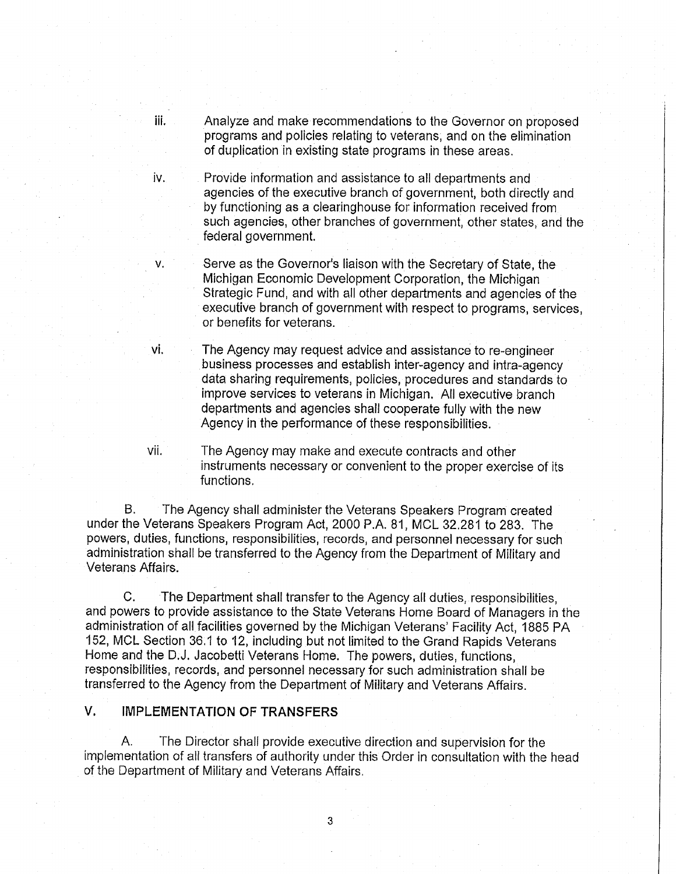iii. Analyze and make recommendations to the Governor on proposed programs and policies relating to veterans, and on the elimination of duplication in existing state programs in these areas.

iv. Provide information and assistance to all departments and agencies of the executive branch of government, both directly and by functioning as clearinghouse for information received from such agencies, other branches of government, other states, and the federal government.

v. Serve as the Governor's liaison with the Secretary of State, the Michigan Economic Development Corporation, the Michigan Strategic Fund, and with all other departments and agencies of the executive branch of government with respect to programs, services, or benefits for veterans.

vi. The Agency may request advice and assistance to re-engineer business processes and establish inter-agency and intra-agency data sharing requirements, policies, procedures and standards to improve services to veterans in Michigan. All executive branch departments and agencies shall cooperate fully with the new Agency in the performance of these responsibilities.

vii. The Agency may make and execute contracts and other instruments necessary or convenient to the proper exercise of its functions.

B. The Agency shall administer the Veterans Speakers Program created under the Veterans Speakers Program Act, 2000 P.A. 81, MCL 32,281 to 283. The powers, duties, functions, responsibilities, records, and personnel necessary for such administration shall be transferred to the Agency from the Department of Military and Veterans Affairs.

C. The Department shall transfer to the Agency all duties, responsibilities, and powers to provide assistance to the State Veterans Home Board of Managers in the administration of all facilities governed by the Michigan Veterans' Facility Act, 1885 PA 152, MCL Section 36.1 to 12, including but not limited to the Grand Rapids Veterans Home and the D.J. Jacobetti Veterans Home. The powers, duties, functions, responsibilities, records, and personnel necessary for such administration shall be transferred to the Agency from the Department of Military and Veterans Affairs.

#### V. IMPLEMENTATION OF TRANSFERS

A. The Director shall provide executive direction and supervision for the implementation of all transfers of authority under this Order in consultation with the head of the Department of Military and Veterans Affairs.

3